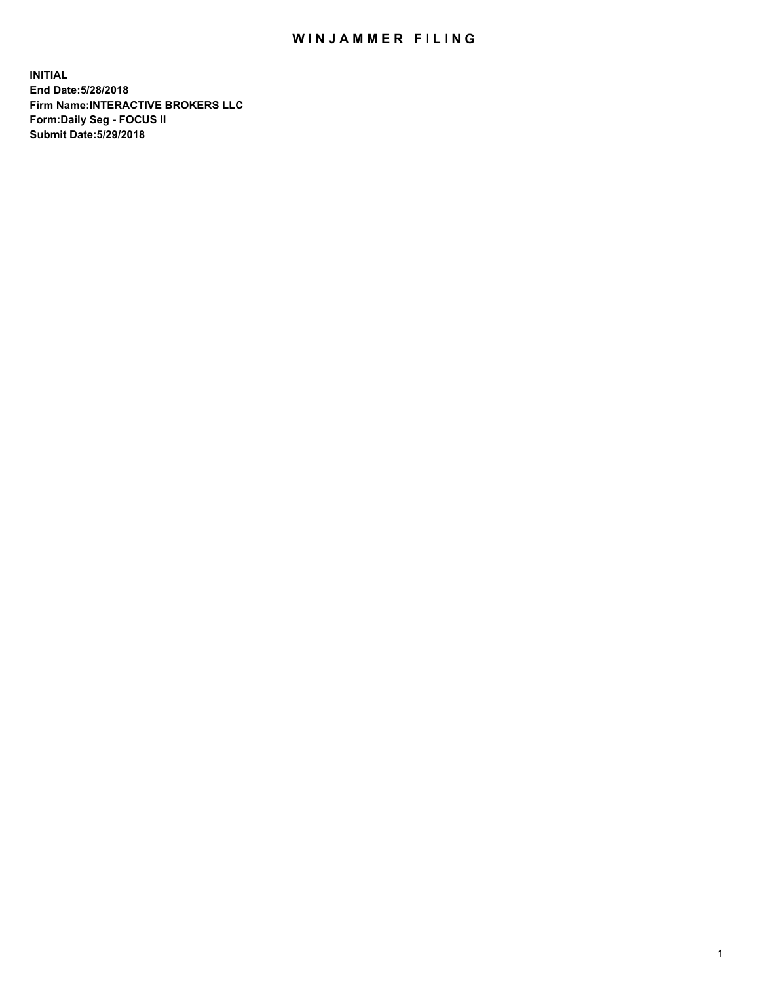## WIN JAMMER FILING

**INITIAL End Date:5/28/2018 Firm Name:INTERACTIVE BROKERS LLC Form:Daily Seg - FOCUS II Submit Date:5/29/2018**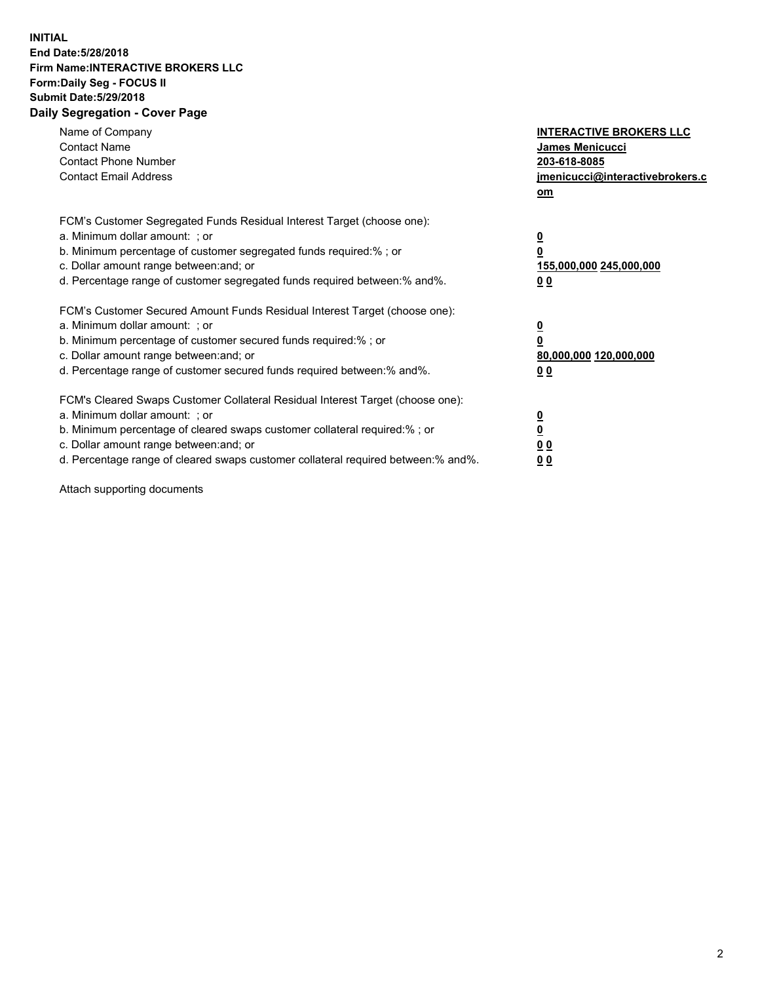## **INITIAL End Date:5/28/2018 Firm Name:INTERACTIVE BROKERS LLC Form:Daily Seg - FOCUS II Submit Date:5/29/2018 Daily Segregation - Cover Page**

| Name of Company<br><b>Contact Name</b><br><b>Contact Phone Number</b><br><b>Contact Email Address</b>                                                                                                                                                                                                                          | <b>INTERACTIVE BROKERS LLC</b><br>James Menicucci<br>203-618-8085<br>jmenicucci@interactivebrokers.c<br>om |
|--------------------------------------------------------------------------------------------------------------------------------------------------------------------------------------------------------------------------------------------------------------------------------------------------------------------------------|------------------------------------------------------------------------------------------------------------|
| FCM's Customer Segregated Funds Residual Interest Target (choose one):<br>a. Minimum dollar amount: ; or<br>b. Minimum percentage of customer segregated funds required:%; or<br>c. Dollar amount range between: and; or<br>d. Percentage range of customer segregated funds required between:% and%.                          | $\overline{\mathbf{0}}$<br>0<br>155,000,000 245,000,000<br>0 <sub>0</sub>                                  |
| FCM's Customer Secured Amount Funds Residual Interest Target (choose one):<br>a. Minimum dollar amount: ; or<br>b. Minimum percentage of customer secured funds required:%; or<br>c. Dollar amount range between: and; or<br>d. Percentage range of customer secured funds required between:% and%.                            | $\overline{\mathbf{0}}$<br>$\overline{\mathbf{0}}$<br>80,000,000 120,000,000<br>00                         |
| FCM's Cleared Swaps Customer Collateral Residual Interest Target (choose one):<br>a. Minimum dollar amount: ; or<br>b. Minimum percentage of cleared swaps customer collateral required:% ; or<br>c. Dollar amount range between: and; or<br>d. Percentage range of cleared swaps customer collateral required between:% and%. | $\overline{\mathbf{0}}$<br>$\overline{\mathbf{0}}$<br>0 <sub>0</sub><br><u>00</u>                          |

Attach supporting documents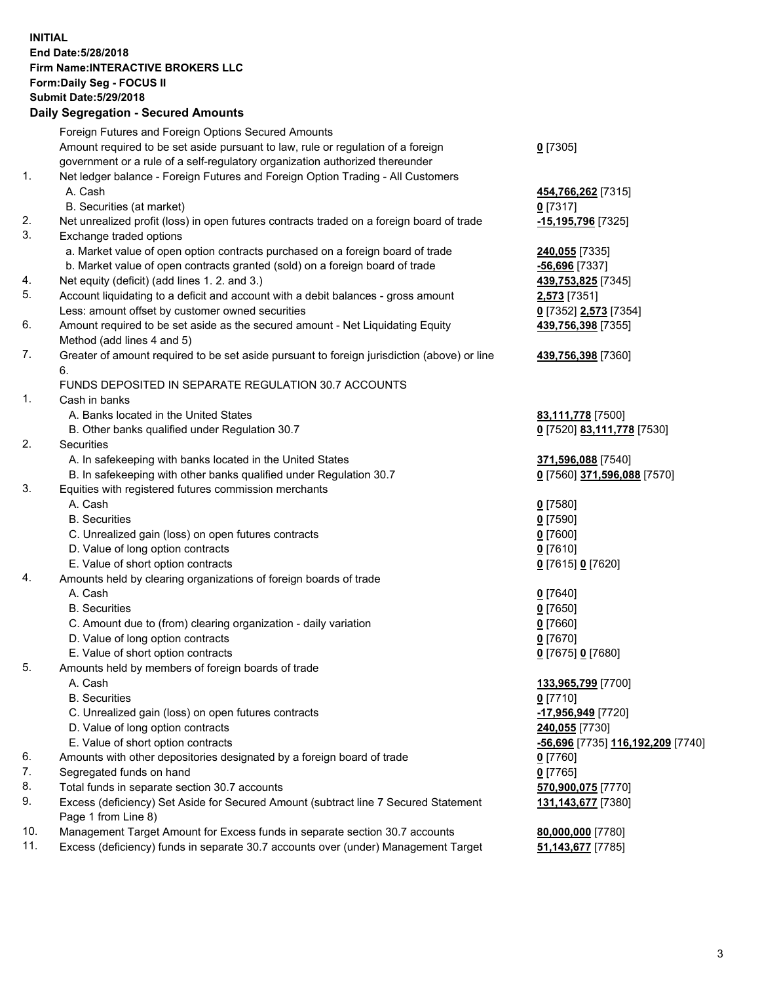## **INITIAL End Date:5/28/2018 Firm Name:INTERACTIVE BROKERS LLC Form:Daily Seg - FOCUS II Submit Date:5/29/2018 Daily Segregation - Secured Amounts**

|     | Daily Jegiegation - Jeculed Aniounts                                                                       |                                   |
|-----|------------------------------------------------------------------------------------------------------------|-----------------------------------|
|     | Foreign Futures and Foreign Options Secured Amounts                                                        |                                   |
|     | Amount required to be set aside pursuant to law, rule or regulation of a foreign                           | $0$ [7305]                        |
|     | government or a rule of a self-regulatory organization authorized thereunder                               |                                   |
| 1.  | Net ledger balance - Foreign Futures and Foreign Option Trading - All Customers                            |                                   |
|     | A. Cash                                                                                                    | 454,766,262 [7315]                |
|     | B. Securities (at market)                                                                                  | $0$ [7317]                        |
| 2.  | Net unrealized profit (loss) in open futures contracts traded on a foreign board of trade                  | -15,195,796 [7325]                |
| 3.  | Exchange traded options                                                                                    |                                   |
|     | a. Market value of open option contracts purchased on a foreign board of trade                             | 240,055 [7335]                    |
|     | b. Market value of open contracts granted (sold) on a foreign board of trade                               | $-56,696$ [7337]                  |
| 4.  | Net equity (deficit) (add lines 1.2. and 3.)                                                               | 439,753,825 [7345]                |
| 5.  | Account liquidating to a deficit and account with a debit balances - gross amount                          | 2,573 [7351]                      |
|     | Less: amount offset by customer owned securities                                                           | 0 [7352] 2,573 [7354]             |
| 6.  | Amount required to be set aside as the secured amount - Net Liquidating Equity                             | 439,756,398 [7355]                |
|     | Method (add lines 4 and 5)                                                                                 |                                   |
| 7.  | Greater of amount required to be set aside pursuant to foreign jurisdiction (above) or line                | 439,756,398 [7360]                |
|     | 6.                                                                                                         |                                   |
|     | FUNDS DEPOSITED IN SEPARATE REGULATION 30.7 ACCOUNTS                                                       |                                   |
| 1.  | Cash in banks                                                                                              |                                   |
|     | A. Banks located in the United States                                                                      | 83,111,778 [7500]                 |
|     | B. Other banks qualified under Regulation 30.7                                                             | 0 [7520] 83,111,778 [7530]        |
| 2.  | Securities                                                                                                 |                                   |
|     | A. In safekeeping with banks located in the United States                                                  | 371,596,088 [7540]                |
|     | B. In safekeeping with other banks qualified under Regulation 30.7                                         | 0 [7560] 371,596,088 [7570]       |
| 3.  | Equities with registered futures commission merchants                                                      |                                   |
|     | A. Cash                                                                                                    | $0$ [7580]                        |
|     | <b>B.</b> Securities                                                                                       | $0$ [7590]                        |
|     | C. Unrealized gain (loss) on open futures contracts                                                        | $0$ [7600]                        |
|     | D. Value of long option contracts                                                                          | $0$ [7610]                        |
|     | E. Value of short option contracts                                                                         | 0 [7615] 0 [7620]                 |
| 4.  | Amounts held by clearing organizations of foreign boards of trade                                          |                                   |
|     | A. Cash                                                                                                    | $0$ [7640]                        |
|     | <b>B.</b> Securities                                                                                       | $0$ [7650]                        |
|     | C. Amount due to (from) clearing organization - daily variation                                            | $0$ [7660]                        |
|     | D. Value of long option contracts                                                                          | $0$ [7670]                        |
|     | E. Value of short option contracts                                                                         | 0 [7675] 0 [7680]                 |
| 5.  | Amounts held by members of foreign boards of trade                                                         |                                   |
|     | A. Cash                                                                                                    | 133,965,799 [7700]                |
|     | <b>B.</b> Securities                                                                                       | $0$ [7710]                        |
|     | C. Unrealized gain (loss) on open futures contracts                                                        | -17,956,949 [7720]                |
|     | D. Value of long option contracts                                                                          | 240,055 [7730]                    |
|     | E. Value of short option contracts                                                                         | -56,696 [7735] 116,192,209 [7740] |
| 6.  | Amounts with other depositories designated by a foreign board of trade                                     | $0$ [7760]                        |
| 7.  | Segregated funds on hand                                                                                   | $0$ [7765]                        |
| 8.  | Total funds in separate section 30.7 accounts                                                              | 570,900,075 [7770]                |
| 9.  | Excess (deficiency) Set Aside for Secured Amount (subtract line 7 Secured Statement<br>Page 1 from Line 8) | 131, 143, 677 [7380]              |
| 10. | Management Target Amount for Excess funds in separate section 30.7 accounts                                | 80,000,000 [7780]                 |
| 11. | Excess (deficiency) funds in separate 30.7 accounts over (under) Management Target                         | 51,143,677 [7785]                 |
|     |                                                                                                            |                                   |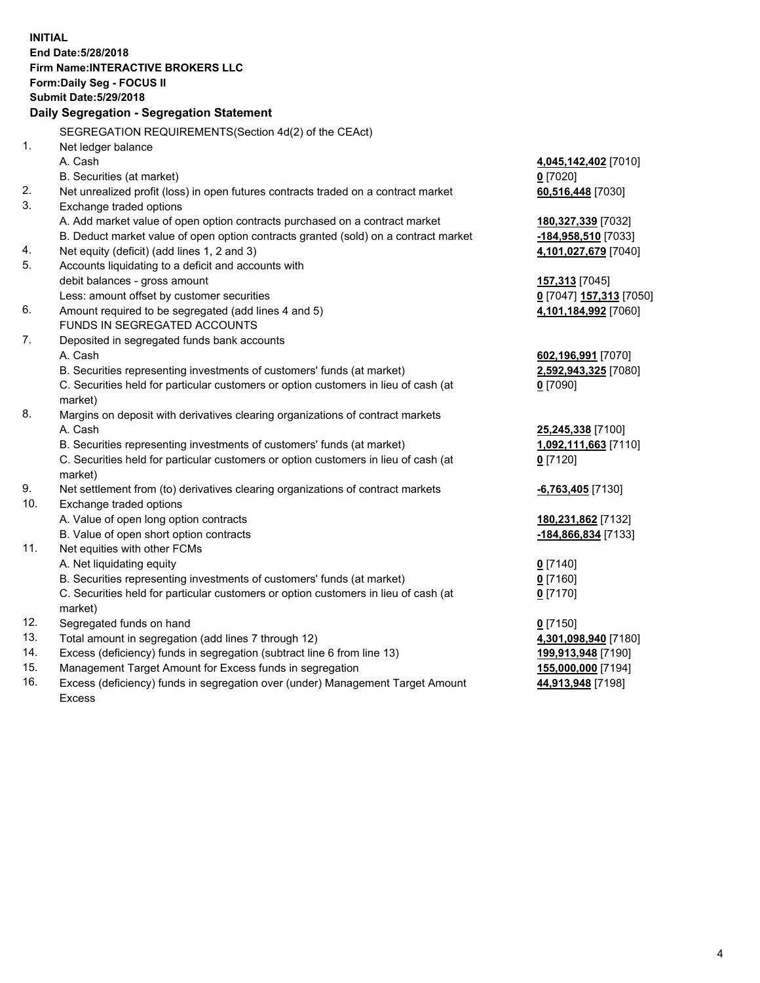**INITIAL End Date:5/28/2018 Firm Name:INTERACTIVE BROKERS LLC Form:Daily Seg - FOCUS II Submit Date:5/29/2018 Daily Segregation - Segregation Statement** SEGREGATION REQUIREMENTS(Section 4d(2) of the CEAct) 1. Net ledger balance A. Cash **4,045,142,402** [7010] B. Securities (at market) **0** [7020] 2. Net unrealized profit (loss) in open futures contracts traded on a contract market **60,516,448** [7030] 3. Exchange traded options A. Add market value of open option contracts purchased on a contract market **180,327,339** [7032] B. Deduct market value of open option contracts granted (sold) on a contract market **-184,958,510** [7033] 4. Net equity (deficit) (add lines 1, 2 and 3) **4,101,027,679** [7040] 5. Accounts liquidating to a deficit and accounts with debit balances - gross amount **157,313** [7045] Less: amount offset by customer securities **0** [7047] **157,313** [7050] 6. Amount required to be segregated (add lines 4 and 5) **4,101,184,992** [7060] FUNDS IN SEGREGATED ACCOUNTS 7. Deposited in segregated funds bank accounts A. Cash **602,196,991** [7070] B. Securities representing investments of customers' funds (at market) **2,592,943,325** [7080] C. Securities held for particular customers or option customers in lieu of cash (at market) **0** [7090] 8. Margins on deposit with derivatives clearing organizations of contract markets A. Cash **25,245,338** [7100] B. Securities representing investments of customers' funds (at market) **1,092,111,663** [7110] C. Securities held for particular customers or option customers in lieu of cash (at market) **0** [7120] 9. Net settlement from (to) derivatives clearing organizations of contract markets **-6,763,405** [7130] 10. Exchange traded options A. Value of open long option contracts **180,231,862** [7132] B. Value of open short option contracts **-184,866,834** [7133] 11. Net equities with other FCMs A. Net liquidating equity **0** [7140] B. Securities representing investments of customers' funds (at market) **0** [7160] C. Securities held for particular customers or option customers in lieu of cash (at market) **0** [7170] 12. Segregated funds on hand **0** [7150] 13. Total amount in segregation (add lines 7 through 12) **4,301,098,940** [7180] 14. Excess (deficiency) funds in segregation (subtract line 6 from line 13) **199,913,948** [7190] 15. Management Target Amount for Excess funds in segregation **155,000,000** [7194]

16. Excess (deficiency) funds in segregation over (under) Management Target Amount Excess

**44,913,948** [7198]